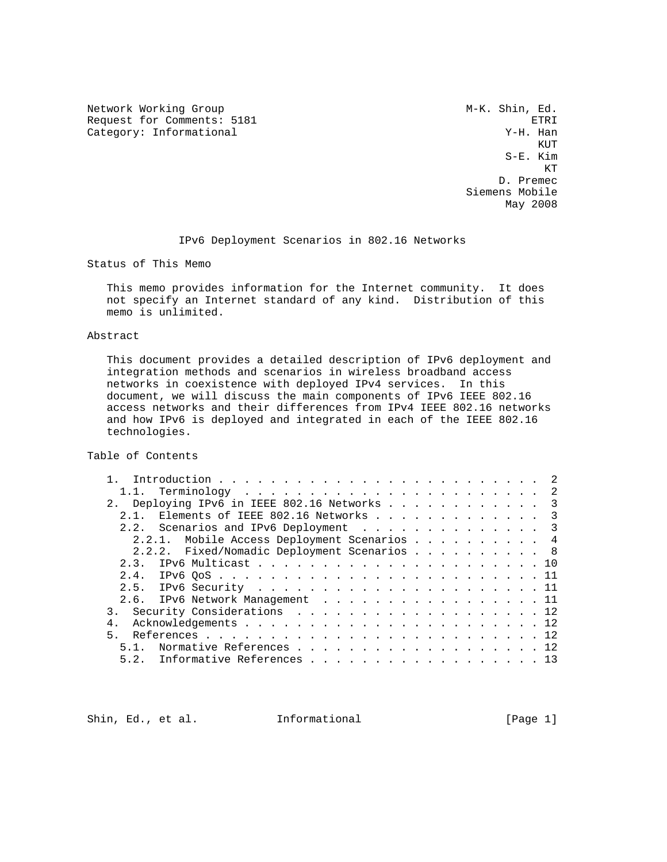Network Working Group M-K. Shin, Ed. Request for Comments: 5181 ETRI<br>Category: Informational example of the category: Informational example of the category: The category: The category Category: Informational  $Y-H$ . Han

**KUT AND A SERVICE STATE**  S-E. Kim KT STATE STATE STATE STATE STATE STATE STATE STATE STATE STATE STATE STATE STATE STATE STATE STATE STATE STATE STATE STATE STATE STATE STATE STATE STATE STATE STATE STATE STATE STATE STATE STATE STATE STATE STATE STATE STA D. Premec Siemens Mobile May 2008

IPv6 Deployment Scenarios in 802.16 Networks

Status of This Memo

 This memo provides information for the Internet community. It does not specify an Internet standard of any kind. Distribution of this memo is unlimited.

# Abstract

 This document provides a detailed description of IPv6 deployment and integration methods and scenarios in wireless broadband access networks in coexistence with deployed IPv4 services. In this document, we will discuss the main components of IPv6 IEEE 802.16 access networks and their differences from IPv4 IEEE 802.16 networks and how IPv6 is deployed and integrated in each of the IEEE 802.16 technologies.

Table of Contents

| 2. Deploying IPv6 in IEEE 802.16 Networks 3 |  |  |  |  |  |  |
|---------------------------------------------|--|--|--|--|--|--|
| 2.1. Elements of IEEE 802.16 Networks 3     |  |  |  |  |  |  |
| 2.2. Scenarios and IPv6 Deployment 3        |  |  |  |  |  |  |
| 2.2.1. Mobile Access Deployment Scenarios 4 |  |  |  |  |  |  |
| 2.2.2. Fixed/Nomadic Deployment Scenarios 8 |  |  |  |  |  |  |
|                                             |  |  |  |  |  |  |
|                                             |  |  |  |  |  |  |
|                                             |  |  |  |  |  |  |
| 2.6. IPv6 Network Management 11             |  |  |  |  |  |  |
| 3. Security Considerations 12               |  |  |  |  |  |  |
|                                             |  |  |  |  |  |  |
|                                             |  |  |  |  |  |  |
| 5.1. Normative References 12                |  |  |  |  |  |  |
| 5.2. Informative References 13              |  |  |  |  |  |  |

Shin, Ed., et al. 1nformational [Page 1]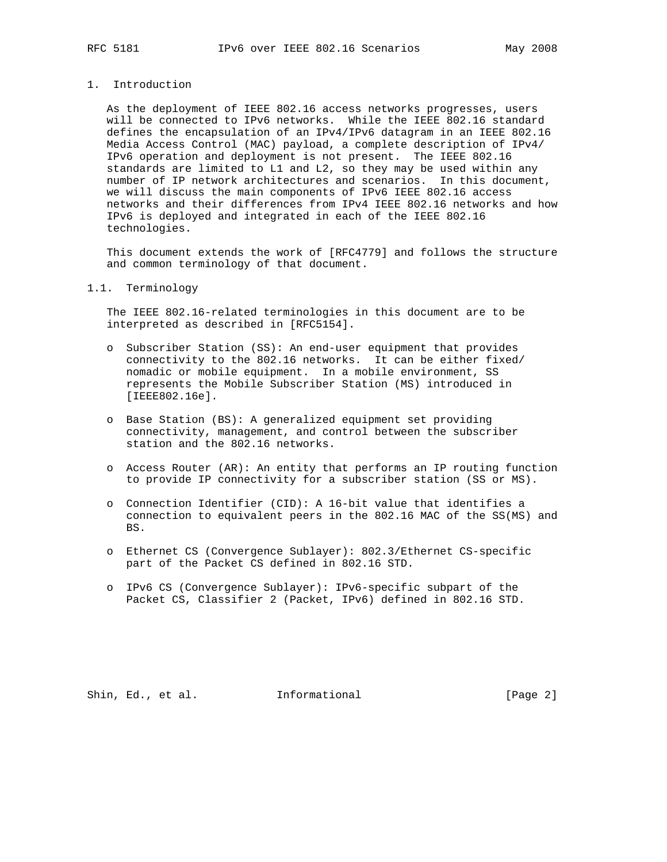# 1. Introduction

 As the deployment of IEEE 802.16 access networks progresses, users will be connected to IPv6 networks. While the IEEE 802.16 standard defines the encapsulation of an IPv4/IPv6 datagram in an IEEE 802.16 Media Access Control (MAC) payload, a complete description of IPv4/ IPv6 operation and deployment is not present. The IEEE 802.16 standards are limited to L1 and L2, so they may be used within any number of IP network architectures and scenarios. In this document, we will discuss the main components of IPv6 IEEE 802.16 access networks and their differences from IPv4 IEEE 802.16 networks and how IPv6 is deployed and integrated in each of the IEEE 802.16 technologies.

 This document extends the work of [RFC4779] and follows the structure and common terminology of that document.

# 1.1. Terminology

 The IEEE 802.16-related terminologies in this document are to be interpreted as described in [RFC5154].

- o Subscriber Station (SS): An end-user equipment that provides connectivity to the 802.16 networks. It can be either fixed/ nomadic or mobile equipment. In a mobile environment, SS represents the Mobile Subscriber Station (MS) introduced in [IEEE802.16e].
- o Base Station (BS): A generalized equipment set providing connectivity, management, and control between the subscriber station and the 802.16 networks.
- o Access Router (AR): An entity that performs an IP routing function to provide IP connectivity for a subscriber station (SS or MS).
- o Connection Identifier (CID): A 16-bit value that identifies a connection to equivalent peers in the 802.16 MAC of the SS(MS) and BS.
- o Ethernet CS (Convergence Sublayer): 802.3/Ethernet CS-specific part of the Packet CS defined in 802.16 STD.
- o IPv6 CS (Convergence Sublayer): IPv6-specific subpart of the Packet CS, Classifier 2 (Packet, IPv6) defined in 802.16 STD.

Shin, Ed., et al. Informational [Page 2]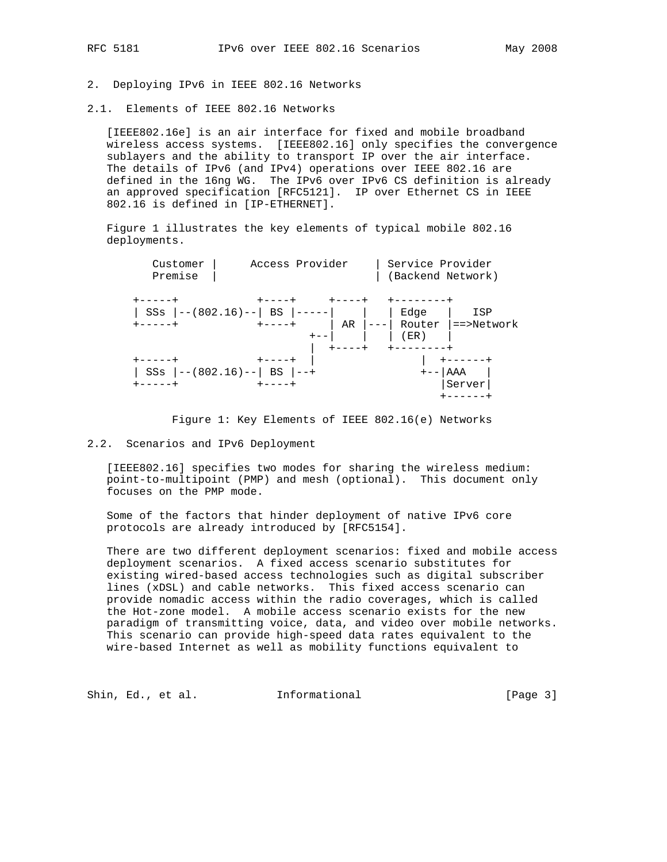# 2. Deploying IPv6 in IEEE 802.16 Networks

2.1. Elements of IEEE 802.16 Networks

 [IEEE802.16e] is an air interface for fixed and mobile broadband wireless access systems. [IEEE802.16] only specifies the convergence sublayers and the ability to transport IP over the air interface. The details of IPv6 (and IPv4) operations over IEEE 802.16 are defined in the 16ng WG. The IPv6 over IPv6 CS definition is already an approved specification [RFC5121]. IP over Ethernet CS in IEEE 802.16 is defined in [IP-ETHERNET].

 Figure 1 illustrates the key elements of typical mobile 802.16 deployments.



Figure 1: Key Elements of IEEE 802.16(e) Networks

# 2.2. Scenarios and IPv6 Deployment

 [IEEE802.16] specifies two modes for sharing the wireless medium: point-to-multipoint (PMP) and mesh (optional). This document only focuses on the PMP mode.

 Some of the factors that hinder deployment of native IPv6 core protocols are already introduced by [RFC5154].

 There are two different deployment scenarios: fixed and mobile access deployment scenarios. A fixed access scenario substitutes for existing wired-based access technologies such as digital subscriber lines (xDSL) and cable networks. This fixed access scenario can provide nomadic access within the radio coverages, which is called the Hot-zone model. A mobile access scenario exists for the new paradigm of transmitting voice, data, and video over mobile networks. This scenario can provide high-speed data rates equivalent to the wire-based Internet as well as mobility functions equivalent to

Shin, Ed., et al. 1nformational [Page 3]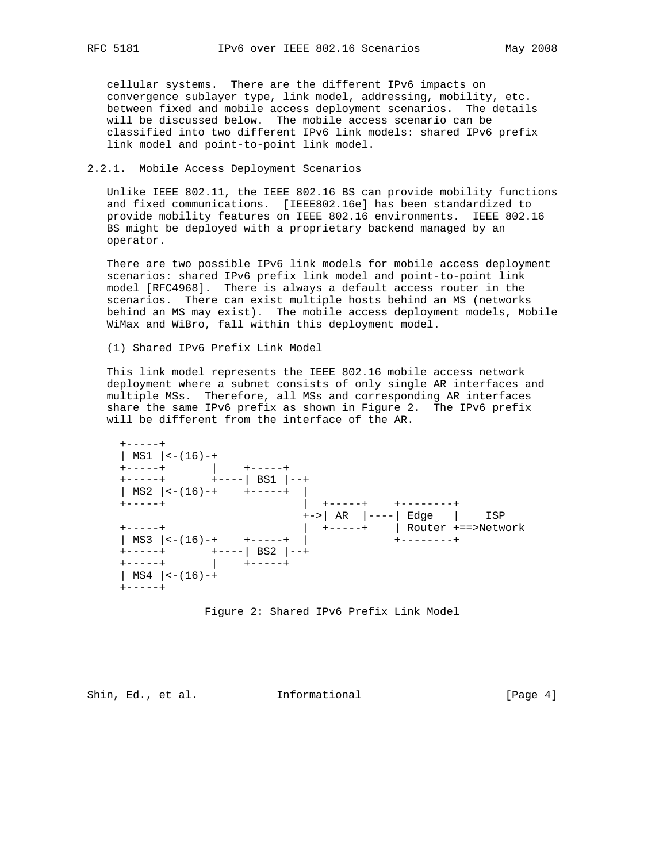cellular systems. There are the different IPv6 impacts on convergence sublayer type, link model, addressing, mobility, etc. between fixed and mobile access deployment scenarios. The details will be discussed below. The mobile access scenario can be classified into two different IPv6 link models: shared IPv6 prefix link model and point-to-point link model.

# 2.2.1. Mobile Access Deployment Scenarios

 Unlike IEEE 802.11, the IEEE 802.16 BS can provide mobility functions and fixed communications. [IEEE802.16e] has been standardized to provide mobility features on IEEE 802.16 environments. IEEE 802.16 BS might be deployed with a proprietary backend managed by an operator.

 There are two possible IPv6 link models for mobile access deployment scenarios: shared IPv6 prefix link model and point-to-point link model [RFC4968]. There is always a default access router in the scenarios. There can exist multiple hosts behind an MS (networks behind an MS may exist). The mobile access deployment models, Mobile WiMax and WiBro, fall within this deployment model.

(1) Shared IPv6 Prefix Link Model

 This link model represents the IEEE 802.16 mobile access network deployment where a subnet consists of only single AR interfaces and multiple MSs. Therefore, all MSs and corresponding AR interfaces share the same IPv6 prefix as shown in Figure 2. The IPv6 prefix will be different from the interface of the AR.



Figure 2: Shared IPv6 Prefix Link Model

Shin, Ed., et al. 1nformational [Page 4]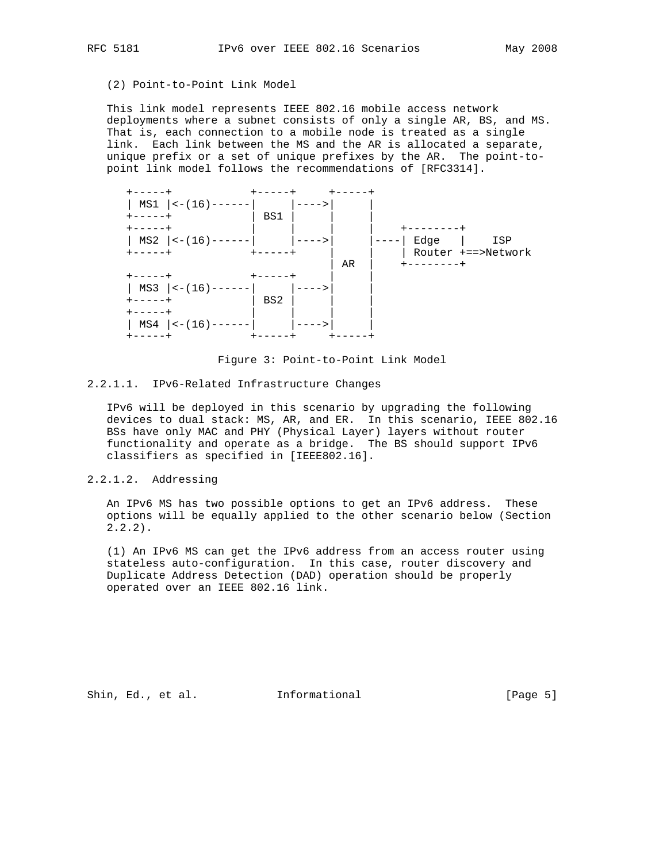# (2) Point-to-Point Link Model

 This link model represents IEEE 802.16 mobile access network deployments where a subnet consists of only a single AR, BS, and MS. That is, each connection to a mobile node is treated as a single link. Each link between the MS and the AR is allocated a separate, unique prefix or a set of unique prefixes by the AR. The point-to point link model follows the recommendations of [RFC3314].



Figure 3: Point-to-Point Link Model

## 2.2.1.1. IPv6-Related Infrastructure Changes

 IPv6 will be deployed in this scenario by upgrading the following devices to dual stack: MS, AR, and ER. In this scenario, IEEE 802.16 BSs have only MAC and PHY (Physical Layer) layers without router functionality and operate as a bridge. The BS should support IPv6 classifiers as specified in [IEEE802.16].

# 2.2.1.2. Addressing

 An IPv6 MS has two possible options to get an IPv6 address. These options will be equally applied to the other scenario below (Section  $2.2.2$ ).

 (1) An IPv6 MS can get the IPv6 address from an access router using stateless auto-configuration. In this case, router discovery and Duplicate Address Detection (DAD) operation should be properly operated over an IEEE 802.16 link.

Shin, Ed., et al. 1nformational 1999 [Page 5]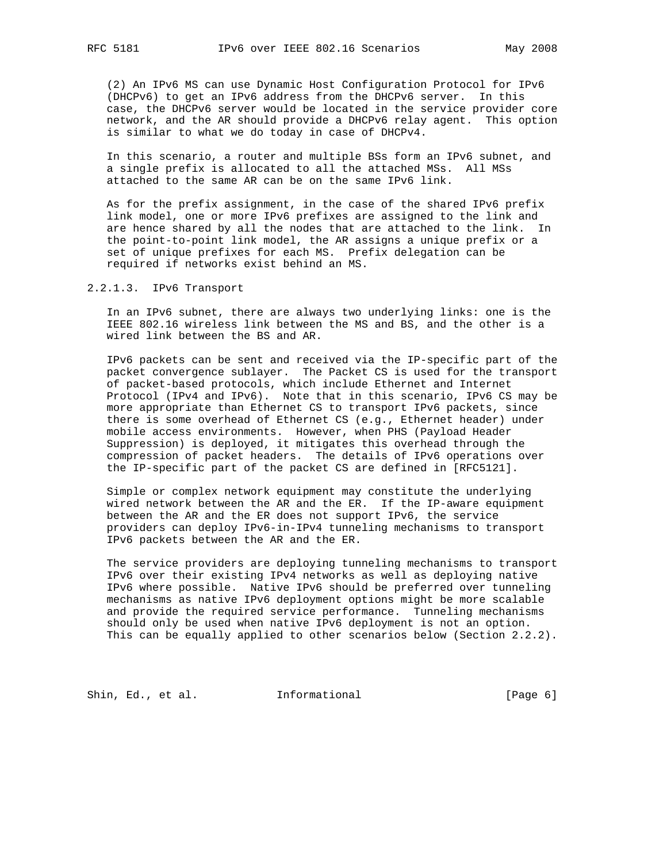(2) An IPv6 MS can use Dynamic Host Configuration Protocol for IPv6 (DHCPv6) to get an IPv6 address from the DHCPv6 server. In this case, the DHCPv6 server would be located in the service provider core network, and the AR should provide a DHCPv6 relay agent. This option is similar to what we do today in case of DHCPv4.

 In this scenario, a router and multiple BSs form an IPv6 subnet, and a single prefix is allocated to all the attached MSs. All MSs attached to the same AR can be on the same IPv6 link.

 As for the prefix assignment, in the case of the shared IPv6 prefix link model, one or more IPv6 prefixes are assigned to the link and are hence shared by all the nodes that are attached to the link. In the point-to-point link model, the AR assigns a unique prefix or a set of unique prefixes for each MS. Prefix delegation can be required if networks exist behind an MS.

# 2.2.1.3. IPv6 Transport

 In an IPv6 subnet, there are always two underlying links: one is the IEEE 802.16 wireless link between the MS and BS, and the other is a wired link between the BS and AR.

 IPv6 packets can be sent and received via the IP-specific part of the packet convergence sublayer. The Packet CS is used for the transport of packet-based protocols, which include Ethernet and Internet Protocol (IPv4 and IPv6). Note that in this scenario, IPv6 CS may be more appropriate than Ethernet CS to transport IPv6 packets, since there is some overhead of Ethernet CS (e.g., Ethernet header) under mobile access environments. However, when PHS (Payload Header Suppression) is deployed, it mitigates this overhead through the compression of packet headers. The details of IPv6 operations over the IP-specific part of the packet CS are defined in [RFC5121].

 Simple or complex network equipment may constitute the underlying wired network between the AR and the ER. If the IP-aware equipment between the AR and the ER does not support IPv6, the service providers can deploy IPv6-in-IPv4 tunneling mechanisms to transport IPv6 packets between the AR and the ER.

 The service providers are deploying tunneling mechanisms to transport IPv6 over their existing IPv4 networks as well as deploying native IPv6 where possible. Native IPv6 should be preferred over tunneling mechanisms as native IPv6 deployment options might be more scalable and provide the required service performance. Tunneling mechanisms should only be used when native IPv6 deployment is not an option. This can be equally applied to other scenarios below (Section 2.2.2).

Shin, Ed., et al. 1nformational [Page 6]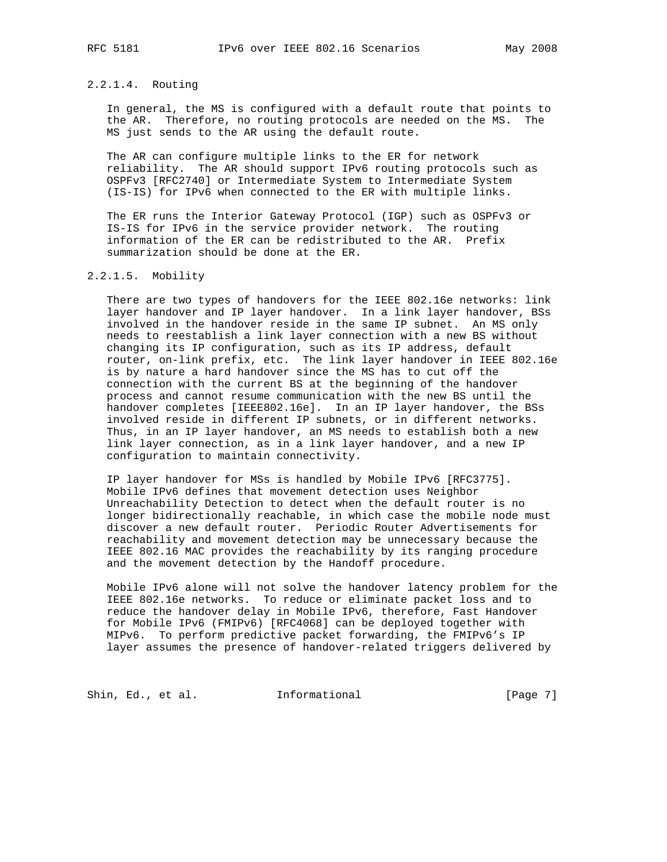# 2.2.1.4. Routing

 In general, the MS is configured with a default route that points to the AR. Therefore, no routing protocols are needed on the MS. The MS just sends to the AR using the default route.

 The AR can configure multiple links to the ER for network reliability. The AR should support IPv6 routing protocols such as OSPFv3 [RFC2740] or Intermediate System to Intermediate System (IS-IS) for IPv6 when connected to the ER with multiple links.

 The ER runs the Interior Gateway Protocol (IGP) such as OSPFv3 or IS-IS for IPv6 in the service provider network. The routing information of the ER can be redistributed to the AR. Prefix summarization should be done at the ER.

# 2.2.1.5. Mobility

 There are two types of handovers for the IEEE 802.16e networks: link layer handover and IP layer handover. In a link layer handover, BSs involved in the handover reside in the same IP subnet. An MS only needs to reestablish a link layer connection with a new BS without changing its IP configuration, such as its IP address, default router, on-link prefix, etc. The link layer handover in IEEE 802.16e is by nature a hard handover since the MS has to cut off the connection with the current BS at the beginning of the handover process and cannot resume communication with the new BS until the handover completes [IEEE802.16e]. In an IP layer handover, the BSs involved reside in different IP subnets, or in different networks. Thus, in an IP layer handover, an MS needs to establish both a new link layer connection, as in a link layer handover, and a new IP configuration to maintain connectivity.

 IP layer handover for MSs is handled by Mobile IPv6 [RFC3775]. Mobile IPv6 defines that movement detection uses Neighbor Unreachability Detection to detect when the default router is no longer bidirectionally reachable, in which case the mobile node must discover a new default router. Periodic Router Advertisements for reachability and movement detection may be unnecessary because the IEEE 802.16 MAC provides the reachability by its ranging procedure and the movement detection by the Handoff procedure.

 Mobile IPv6 alone will not solve the handover latency problem for the IEEE 802.16e networks. To reduce or eliminate packet loss and to reduce the handover delay in Mobile IPv6, therefore, Fast Handover for Mobile IPv6 (FMIPv6) [RFC4068] can be deployed together with MIPv6. To perform predictive packet forwarding, the FMIPv6's IP layer assumes the presence of handover-related triggers delivered by

Shin, Ed., et al. 1nformational 1999 [Page 7]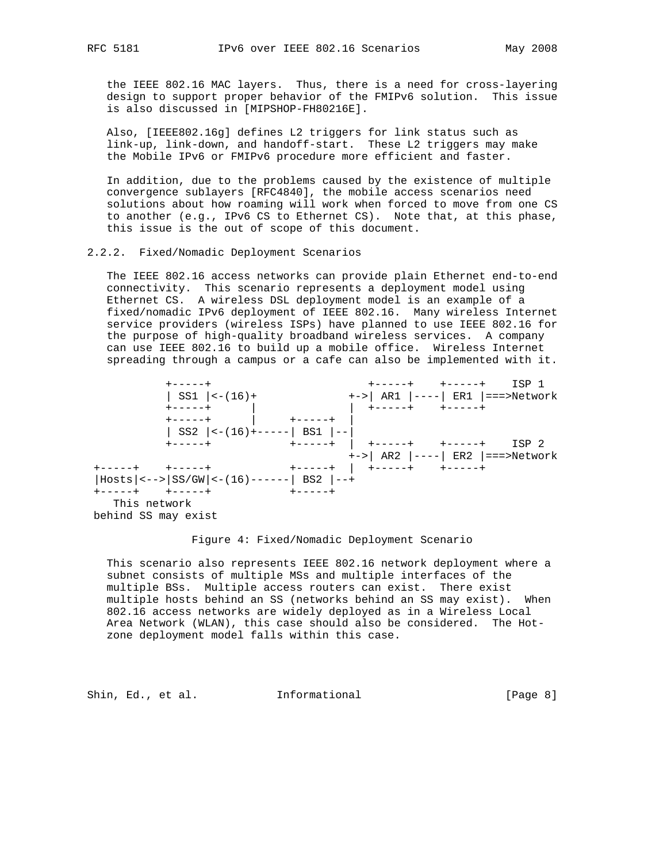the IEEE 802.16 MAC layers. Thus, there is a need for cross-layering design to support proper behavior of the FMIPv6 solution. This issue is also discussed in [MIPSHOP-FH80216E].

 Also, [IEEE802.16g] defines L2 triggers for link status such as link-up, link-down, and handoff-start. These L2 triggers may make the Mobile IPv6 or FMIPv6 procedure more efficient and faster.

 In addition, due to the problems caused by the existence of multiple convergence sublayers [RFC4840], the mobile access scenarios need solutions about how roaming will work when forced to move from one CS to another (e.g., IPv6 CS to Ethernet CS). Note that, at this phase, this issue is the out of scope of this document.

# 2.2.2. Fixed/Nomadic Deployment Scenarios

 The IEEE 802.16 access networks can provide plain Ethernet end-to-end connectivity. This scenario represents a deployment model using Ethernet CS. A wireless DSL deployment model is an example of a fixed/nomadic IPv6 deployment of IEEE 802.16. Many wireless Internet service providers (wireless ISPs) have planned to use IEEE 802.16 for the purpose of high-quality broadband wireless services. A company can use IEEE 802.16 to build up a mobile office. Wireless Internet spreading through a campus or a cafe can also be implemented with it.



#### Figure 4: Fixed/Nomadic Deployment Scenario

 This scenario also represents IEEE 802.16 network deployment where a subnet consists of multiple MSs and multiple interfaces of the multiple BSs. Multiple access routers can exist. There exist multiple hosts behind an SS (networks behind an SS may exist). When 802.16 access networks are widely deployed as in a Wireless Local Area Network (WLAN), this case should also be considered. The Hot zone deployment model falls within this case.

Shin, Ed., et al. 1nformational [Page 8]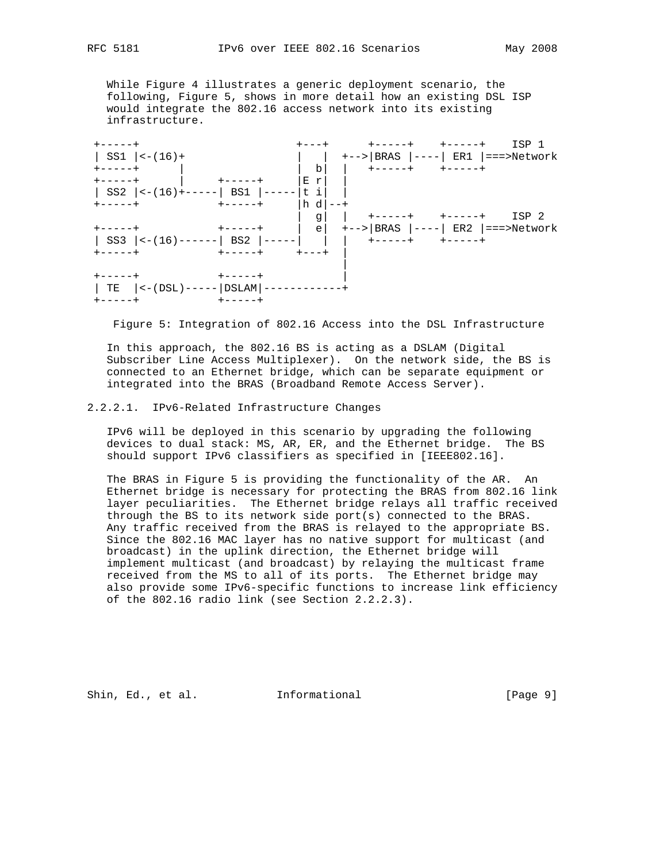While Figure 4 illustrates a generic deployment scenario, the following, Figure 5, shows in more detail how an existing DSL ISP would integrate the 802.16 access network into its existing infrastructure.



Figure 5: Integration of 802.16 Access into the DSL Infrastructure

 In this approach, the 802.16 BS is acting as a DSLAM (Digital Subscriber Line Access Multiplexer). On the network side, the BS is connected to an Ethernet bridge, which can be separate equipment or integrated into the BRAS (Broadband Remote Access Server).

# 2.2.2.1. IPv6-Related Infrastructure Changes

 IPv6 will be deployed in this scenario by upgrading the following devices to dual stack: MS, AR, ER, and the Ethernet bridge. The BS should support IPv6 classifiers as specified in [IEEE802.16].

 The BRAS in Figure 5 is providing the functionality of the AR. An Ethernet bridge is necessary for protecting the BRAS from 802.16 link layer peculiarities. The Ethernet bridge relays all traffic received through the BS to its network side port(s) connected to the BRAS. Any traffic received from the BRAS is relayed to the appropriate BS. Since the 802.16 MAC layer has no native support for multicast (and broadcast) in the uplink direction, the Ethernet bridge will implement multicast (and broadcast) by relaying the multicast frame received from the MS to all of its ports. The Ethernet bridge may also provide some IPv6-specific functions to increase link efficiency of the 802.16 radio link (see Section 2.2.2.3).

Shin, Ed., et al. Informational [Page 9]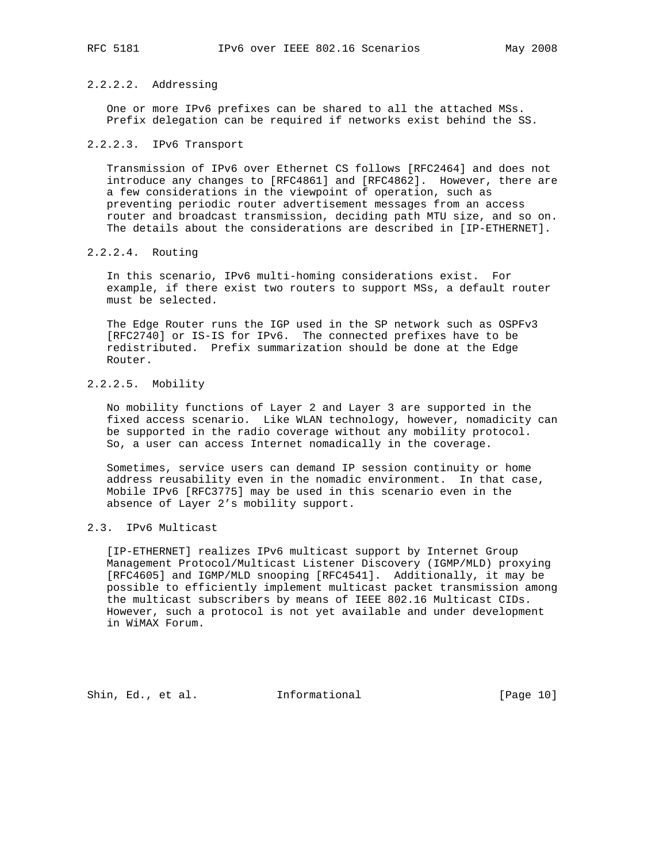# 2.2.2.2. Addressing

 One or more IPv6 prefixes can be shared to all the attached MSs. Prefix delegation can be required if networks exist behind the SS.

# 2.2.2.3. IPv6 Transport

 Transmission of IPv6 over Ethernet CS follows [RFC2464] and does not introduce any changes to [RFC4861] and [RFC4862]. However, there are a few considerations in the viewpoint of operation, such as preventing periodic router advertisement messages from an access router and broadcast transmission, deciding path MTU size, and so on. The details about the considerations are described in [IP-ETHERNET].

# 2.2.2.4. Routing

 In this scenario, IPv6 multi-homing considerations exist. For example, if there exist two routers to support MSs, a default router must be selected.

 The Edge Router runs the IGP used in the SP network such as OSPFv3 [RFC2740] or IS-IS for IPv6. The connected prefixes have to be redistributed. Prefix summarization should be done at the Edge Router.

# 2.2.2.5. Mobility

 No mobility functions of Layer 2 and Layer 3 are supported in the fixed access scenario. Like WLAN technology, however, nomadicity can be supported in the radio coverage without any mobility protocol. So, a user can access Internet nomadically in the coverage.

 Sometimes, service users can demand IP session continuity or home address reusability even in the nomadic environment. In that case, Mobile IPv6 [RFC3775] may be used in this scenario even in the absence of Layer 2's mobility support.

# 2.3. IPv6 Multicast

 [IP-ETHERNET] realizes IPv6 multicast support by Internet Group Management Protocol/Multicast Listener Discovery (IGMP/MLD) proxying [RFC4605] and IGMP/MLD snooping [RFC4541]. Additionally, it may be possible to efficiently implement multicast packet transmission among the multicast subscribers by means of IEEE 802.16 Multicast CIDs. However, such a protocol is not yet available and under development in WiMAX Forum.

Shin, Ed., et al. Informational [Page 10]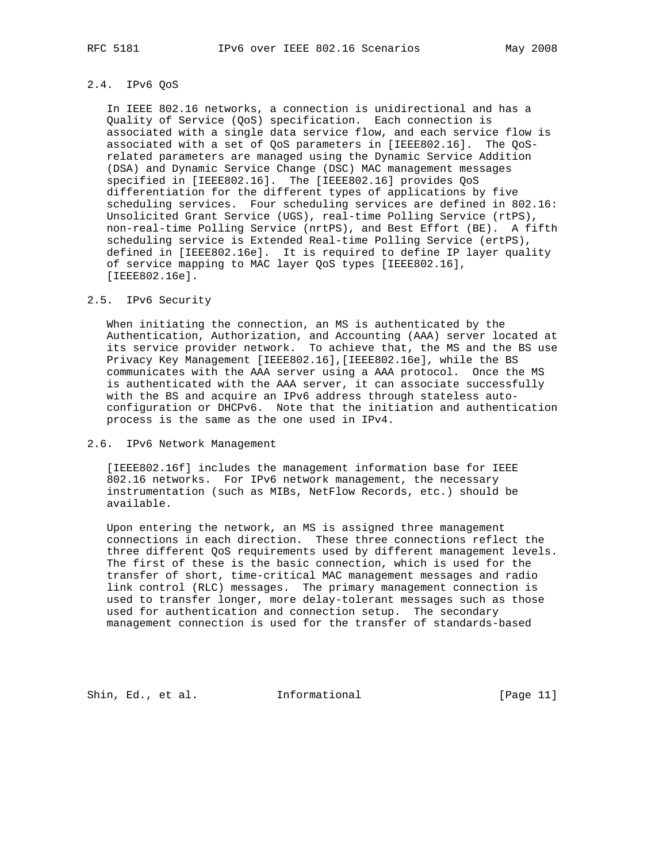# 2.4. IPv6 QoS

 In IEEE 802.16 networks, a connection is unidirectional and has a Quality of Service (QoS) specification. Each connection is associated with a single data service flow, and each service flow is associated with a set of QoS parameters in [IEEE802.16]. The QoS related parameters are managed using the Dynamic Service Addition (DSA) and Dynamic Service Change (DSC) MAC management messages specified in [IEEE802.16]. The [IEEE802.16] provides QoS differentiation for the different types of applications by five scheduling services. Four scheduling services are defined in 802.16: Unsolicited Grant Service (UGS), real-time Polling Service (rtPS), non-real-time Polling Service (nrtPS), and Best Effort (BE). A fifth scheduling service is Extended Real-time Polling Service (ertPS), defined in [IEEE802.16e]. It is required to define IP layer quality of service mapping to MAC layer QoS types [IEEE802.16], [IEEE802.16e].

# 2.5. IPv6 Security

 When initiating the connection, an MS is authenticated by the Authentication, Authorization, and Accounting (AAA) server located at its service provider network. To achieve that, the MS and the BS use Privacy Key Management [IEEE802.16],[IEEE802.16e], while the BS communicates with the AAA server using a AAA protocol. Once the MS is authenticated with the AAA server, it can associate successfully with the BS and acquire an IPv6 address through stateless auto configuration or DHCPv6. Note that the initiation and authentication process is the same as the one used in IPv4.

# 2.6. IPv6 Network Management

 [IEEE802.16f] includes the management information base for IEEE 802.16 networks. For IPv6 network management, the necessary instrumentation (such as MIBs, NetFlow Records, etc.) should be available.

 Upon entering the network, an MS is assigned three management connections in each direction. These three connections reflect the three different QoS requirements used by different management levels. The first of these is the basic connection, which is used for the transfer of short, time-critical MAC management messages and radio link control (RLC) messages. The primary management connection is used to transfer longer, more delay-tolerant messages such as those used for authentication and connection setup. The secondary management connection is used for the transfer of standards-based

Shin, Ed., et al. Informational [Page 11]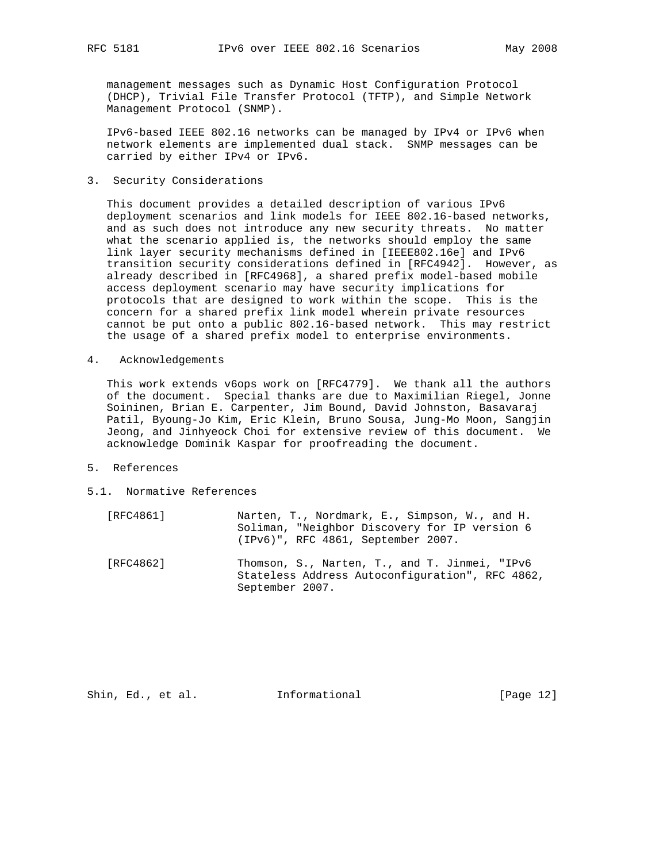management messages such as Dynamic Host Configuration Protocol (DHCP), Trivial File Transfer Protocol (TFTP), and Simple Network Management Protocol (SNMP).

 IPv6-based IEEE 802.16 networks can be managed by IPv4 or IPv6 when network elements are implemented dual stack. SNMP messages can be carried by either IPv4 or IPv6.

3. Security Considerations

 This document provides a detailed description of various IPv6 deployment scenarios and link models for IEEE 802.16-based networks, and as such does not introduce any new security threats. No matter what the scenario applied is, the networks should employ the same link layer security mechanisms defined in [IEEE802.16e] and IPv6 transition security considerations defined in [RFC4942]. However, as already described in [RFC4968], a shared prefix model-based mobile access deployment scenario may have security implications for protocols that are designed to work within the scope. This is the concern for a shared prefix link model wherein private resources cannot be put onto a public 802.16-based network. This may restrict the usage of a shared prefix model to enterprise environments.

4. Acknowledgements

 This work extends v6ops work on [RFC4779]. We thank all the authors of the document. Special thanks are due to Maximilian Riegel, Jonne Soininen, Brian E. Carpenter, Jim Bound, David Johnston, Basavaraj Patil, Byoung-Jo Kim, Eric Klein, Bruno Sousa, Jung-Mo Moon, Sangjin Jeong, and Jinhyeock Choi for extensive review of this document. We acknowledge Dominik Kaspar for proofreading the document.

- 5. References
- 5.1. Normative References

| [RFC4861] | Narten, T., Nordmark, E., Simpson, W., and H. |
|-----------|-----------------------------------------------|
|           | Soliman, "Neighbor Discovery for IP version 6 |
|           | (IPv6)", RFC 4861, September 2007.            |
| [RFC4862] | Thomson, S., Narten, T., and T. Jinmei, "IPv6 |

 Stateless Address Autoconfiguration", RFC 4862, September 2007.

Shin, Ed., et al. Informational [Page 12]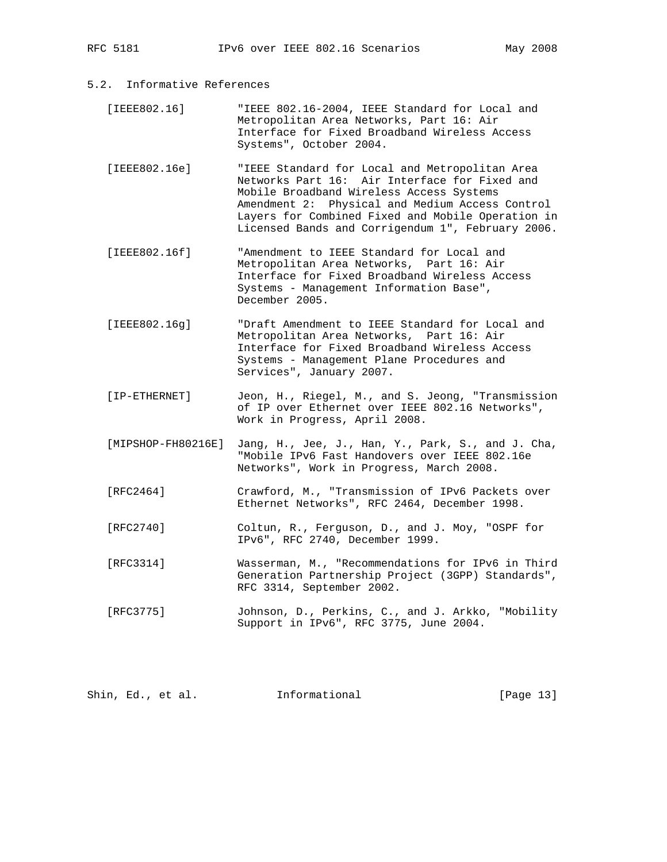- 5.2. Informative References
	- [IEEE802.16] "IEEE 802.16-2004, IEEE Standard for Local and Metropolitan Area Networks, Part 16: Air Interface for Fixed Broadband Wireless Access Systems", October 2004.
	- [IEEE802.16e] "IEEE Standard for Local and Metropolitan Area Networks Part 16: Air Interface for Fixed and Mobile Broadband Wireless Access Systems Amendment 2: Physical and Medium Access Control Layers for Combined Fixed and Mobile Operation in Licensed Bands and Corrigendum 1", February 2006.
	- [IEEE802.16f] "Amendment to IEEE Standard for Local and Metropolitan Area Networks, Part 16: Air Interface for Fixed Broadband Wireless Access Systems - Management Information Base", December 2005.
	- [IEEE802.16g] "Draft Amendment to IEEE Standard for Local and Metropolitan Area Networks, Part 16: Air Interface for Fixed Broadband Wireless Access Systems - Management Plane Procedures and Services", January 2007.
	- [IP-ETHERNET] Jeon, H., Riegel, M., and S. Jeong, "Transmission of IP over Ethernet over IEEE 802.16 Networks", Work in Progress, April 2008.
	- [MIPSHOP-FH80216E] Jang, H., Jee, J., Han, Y., Park, S., and J. Cha, "Mobile IPv6 Fast Handovers over IEEE 802.16e Networks", Work in Progress, March 2008.
	- [RFC2464] Crawford, M., "Transmission of IPv6 Packets over Ethernet Networks", RFC 2464, December 1998.
	- [RFC2740] Coltun, R., Ferguson, D., and J. Moy, "OSPF for IPv6", RFC 2740, December 1999.
	- [RFC3314] Wasserman, M., "Recommendations for IPv6 in Third Generation Partnership Project (3GPP) Standards", RFC 3314, September 2002.
	- [RFC3775] Johnson, D., Perkins, C., and J. Arkko, "Mobility Support in IPv6", RFC 3775, June 2004.

| [Page 13]<br>Shin, Ed., et al.<br>Informational |  |  |
|-------------------------------------------------|--|--|
|-------------------------------------------------|--|--|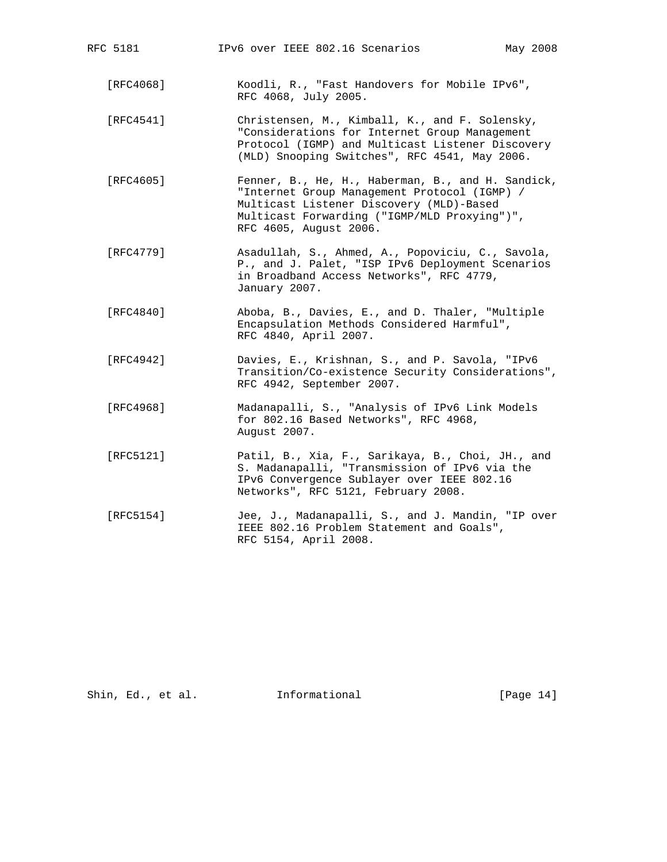| RFC 5181  | IPv6 over IEEE 802.16 Scenarios<br>May 2008                                                                                                                                                                             |
|-----------|-------------------------------------------------------------------------------------------------------------------------------------------------------------------------------------------------------------------------|
| [RFC4068] | Koodli, R., "Fast Handovers for Mobile IPv6",<br>RFC 4068, July 2005.                                                                                                                                                   |
| [RFC4541] | Christensen, M., Kimball, K., and F. Solensky,<br>"Considerations for Internet Group Management<br>Protocol (IGMP) and Multicast Listener Discovery<br>(MLD) Snooping Switches", RFC 4541, May 2006.                    |
| [RFC4605] | Fenner, B., He, H., Haberman, B., and H. Sandick,<br>"Internet Group Management Protocol (IGMP) /<br>Multicast Listener Discovery (MLD)-Based<br>Multicast Forwarding ("IGMP/MLD Proxying")",<br>RFC 4605, August 2006. |
| [RFC4779] | Asadullah, S., Ahmed, A., Popoviciu, C., Savola,<br>P., and J. Palet, "ISP IPv6 Deployment Scenarios<br>in Broadband Access Networks", RFC 4779,<br>January 2007.                                                       |
| [RFC4840] | Aboba, B., Davies, E., and D. Thaler, "Multiple<br>Encapsulation Methods Considered Harmful",<br>RFC 4840, April 2007.                                                                                                  |
| [RFC4942] | Davies, E., Krishnan, S., and P. Savola, "IPv6<br>Transition/Co-existence Security Considerations",<br>RFC 4942, September 2007.                                                                                        |
| [RFC4968] | Madanapalli, S., "Analysis of IPv6 Link Models<br>for 802.16 Based Networks", RFC 4968,<br>August 2007.                                                                                                                 |
| [RFC5121] | Patil, B., Xia, F., Sarikaya, B., Choi, JH., and<br>S. Madanapalli, "Transmission of IPv6 via the<br>IPv6 Convergence Sublayer over IEEE 802.16<br>Networks", RFC 5121, February 2008.                                  |
| [RFC5154] | Jee, J., Madanapalli, S., and J. Mandin, "IP over<br>IEEE 802.16 Problem Statement and Goals",<br>RFC 5154, April 2008.                                                                                                 |
|           |                                                                                                                                                                                                                         |

Shin, Ed., et al. 1nformational [Page 14]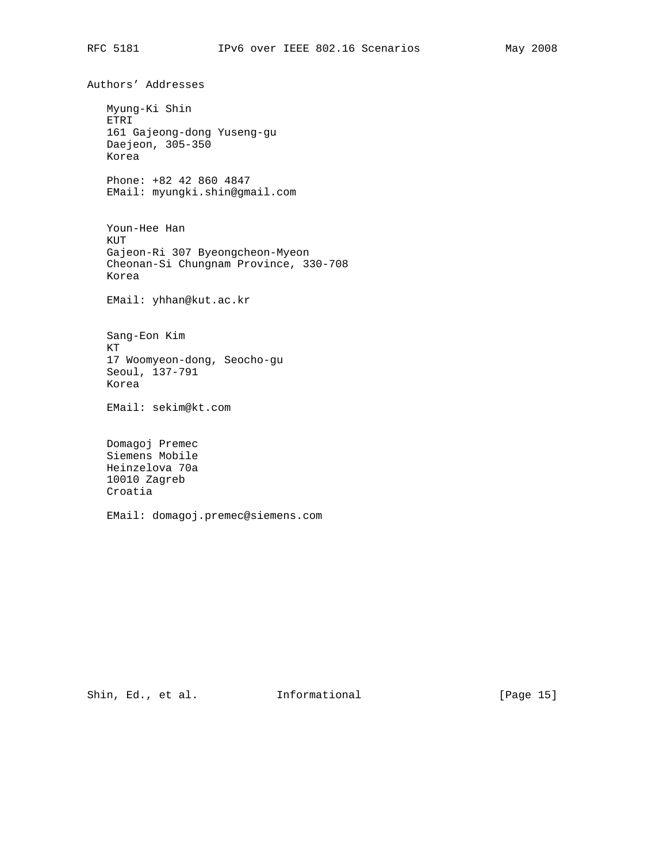Authors' Addresses Myung-Ki Shin ETRI 161 Gajeong-dong Yuseng-gu Daejeon, 305-350 Korea Phone: +82 42 860 4847 EMail: myungki.shin@gmail.com Youn-Hee Han KUT Gajeon-Ri 307 Byeongcheon-Myeon Cheonan-Si Chungnam Province, 330-708 Korea EMail: yhhan@kut.ac.kr Sang-Eon Kim KT 17 Woomyeon-dong, Seocho-gu Seoul, 137-791 Korea EMail: sekim@kt.com Domagoj Premec Siemens Mobile Heinzelova 70a 10010 Zagreb Croatia EMail: domagoj.premec@siemens.com

Shin, Ed., et al. Informational [Page 15]